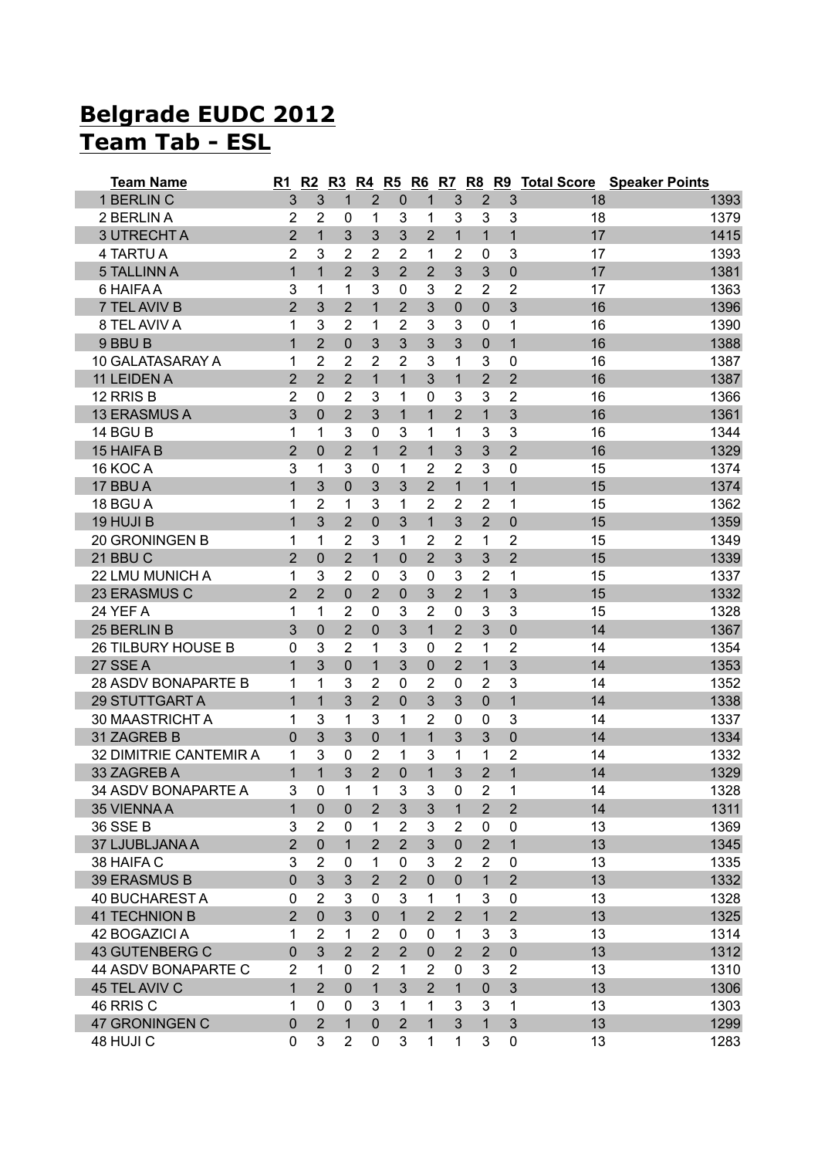## **Belgrade EUDC 2012 Team Tab - ESL**

| <b>Team Name</b>           | R1             | R2             | R3             |                |                |                |                |                |                |    | R4 R5 R6 R7 R8 R9 Total Score Speaker Points |
|----------------------------|----------------|----------------|----------------|----------------|----------------|----------------|----------------|----------------|----------------|----|----------------------------------------------|
| 1 BERLIN C                 | 3              | 3              | $\mathbf{1}$   | $\overline{2}$ | $\mathbf 0$    | $\mathbf{1}$   | 3              | $\overline{2}$ | 3              | 18 | 1393                                         |
| 2 BERLIN A                 | 2              | $\overline{2}$ | 0              | 1              | 3              | 1              | 3              | 3              | 3              | 18 | 1379                                         |
| <b>3 UTRECHT A</b>         | $\overline{2}$ | $\overline{1}$ | 3              | 3              | 3              | $\overline{2}$ | $\mathbf{1}$   | $\mathbf{1}$   | $\overline{1}$ | 17 | 1415                                         |
| 4 TARTU A                  | 2              | 3              | $\overline{2}$ | $\overline{2}$ | $\overline{2}$ | 1              | 2              | 0              | 3              | 17 | 1393                                         |
| <b>5 TALLINN A</b>         | 1              | $\mathbf{1}$   | $\overline{2}$ | 3              | $\overline{2}$ | $\overline{2}$ | 3              | 3              | $\mathbf{0}$   | 17 | 1381                                         |
| 6 HAIFA A                  | 3              | 1              | 1              | 3              | 0              | 3              | 2              | 2              | 2              | 17 | 1363                                         |
| 7 TEL AVIV B               | $\overline{2}$ | 3              | $\overline{2}$ | 1              | $\overline{2}$ | 3              | $\overline{0}$ | $\mathbf 0$    | 3              | 16 | 1396                                         |
| 8 TEL AVIV A               | 1              | 3              | $\overline{2}$ | 1              | $\overline{2}$ | 3              | 3              | $\mathbf 0$    | 1              | 16 | 1390                                         |
| 9 BBU B                    | $\overline{1}$ | $\overline{2}$ | $\mathbf 0$    | 3              | 3              | 3              | 3              | $\mathbf 0$    | $\overline{1}$ | 16 | 1388                                         |
| 10 GALATASARAY A           | 1              | $\overline{2}$ | $\overline{2}$ | 2              | 2              | 3              | 1              | 3              | 0              | 16 | 1387                                         |
| 11 LEIDEN A                | $\overline{2}$ | $\overline{2}$ | $\overline{2}$ | $\mathbf{1}$   | $\mathbf{1}$   | 3              | $\mathbf{1}$   | $\overline{2}$ | $\overline{2}$ | 16 | 1387                                         |
| 12 RRIS B                  | 2              | 0              | $\overline{2}$ | 3              | 1              | 0              | 3              | 3              | $\overline{2}$ | 16 | 1366                                         |
| 13 ERASMUS A               | 3              | 0              | $\overline{2}$ | 3              | $\mathbf{1}$   | 1              | $\overline{2}$ | $\mathbf{1}$   | 3              | 16 | 1361                                         |
| 14 BGU B                   | 1              | 1              | 3              | 0              | 3              | 1              | 1              | 3              | 3              | 16 | 1344                                         |
| 15 HAIFA B                 | $\overline{2}$ | 0              | $\overline{2}$ | 1              | $\overline{2}$ | $\mathbf{1}$   | 3              | 3              | $\overline{2}$ | 16 | 1329                                         |
| 16 KOC A                   | 3              | 1              | 3              | 0              | 1              | $\overline{2}$ | 2              | 3              | 0              | 15 | 1374                                         |
| 17 BBU A                   | $\overline{1}$ | 3              | 0              | 3              | 3              | $\overline{2}$ | $\mathbf{1}$   | $\mathbf{1}$   | 1              | 15 | 1374                                         |
| 18 BGU A                   | 1              | 2              | 1              | 3              | 1              | $\overline{2}$ | 2              | 2              | 1              | 15 | 1362                                         |
| 19 HUJI B                  | $\overline{1}$ | 3              | $\overline{2}$ | 0              | 3              | $\mathbf{1}$   | 3              | $\overline{2}$ | $\mathbf 0$    | 15 | 1359                                         |
| 20 GRONINGEN B             | 1              | 1              | $\overline{2}$ | 3              | 1              | $\overline{2}$ | $\overline{2}$ | 1              | $\overline{2}$ | 15 | 1349                                         |
| 21 BBU C                   | $\overline{2}$ | $\overline{0}$ | $\overline{2}$ | $\overline{1}$ | $\mathbf 0$    | $\overline{2}$ | 3              | 3              | $\overline{2}$ | 15 | 1339                                         |
| 22 LMU MUNICH A            | 1              | 3              | $\overline{2}$ | $\mathbf 0$    | 3              | 0              | 3              | $\overline{2}$ | 1              | 15 | 1337                                         |
| 23 ERASMUS C               | $\overline{2}$ | $\overline{2}$ | $\mathbf 0$    | $\overline{2}$ | $\mathbf 0$    | 3              | $\overline{2}$ | $\mathbf{1}$   | 3              | 15 | 1332                                         |
| 24 YEF A                   | 1              | 1              | $\overline{2}$ | 0              | 3              | $\overline{2}$ | $\mathbf 0$    | 3              | 3              | 15 | 1328                                         |
| 25 BERLIN B                | 3              | 0              | $\overline{2}$ | 0              | 3              | $\mathbf{1}$   | $\overline{2}$ | 3              | $\mathbf 0$    | 14 | 1367                                         |
| 26 TILBURY HOUSE B         | 0              | 3              | $\overline{2}$ | 1              | 3              | 0              | $\overline{2}$ | 1              | $\overline{2}$ | 14 | 1354                                         |
| 27 SSE A                   | 1              | 3              | $\mathbf 0$    | $\mathbf{1}$   | 3              | $\mathbf 0$    | $\overline{2}$ | $\mathbf{1}$   | 3              | 14 | 1353                                         |
| <b>28 ASDV BONAPARTE B</b> | 1              | 1              | 3              | 2              | 0              | $\overline{2}$ | $\mathbf{0}$   | $\overline{2}$ | 3              | 14 | 1352                                         |
| 29 STUTTGART A             | $\mathbf 1$    | $\mathbf{1}$   | 3              | $\overline{2}$ | $\overline{0}$ | 3              | 3              | $\mathbf 0$    | $\overline{1}$ | 14 | 1338                                         |
| 30 MAASTRICHT A            | 1              | 3              | 1              | 3              | 1              | 2              | $\mathbf{0}$   | 0              | 3              | 14 | 1337                                         |
| 31 ZAGREB B                | 0              | 3              | 3              | 0              | $\mathbf 1$    | $\mathbf{1}$   | 3              | 3              | $\mathbf 0$    | 14 | 1334                                         |
| 32 DIMITRIE CANTEMIR A     | 1              | 3              | $\mathbf 0$    | 2              | 1              | 3              | 1              | 1              | $\overline{2}$ | 14 | 1332                                         |
| 33 ZAGREB A                | 1              | 1              | 3              | $\overline{2}$ | 0              | 1              | 3              | $\overline{2}$ | 1              | 14 | 1329                                         |
| 34 ASDV BONAPARTE A        | 3              | 0              | 1              | 1              | 3              | 3              | $\mathbf 0$    | $\overline{c}$ | 1              | 14 | 1328                                         |
| 35 VIENNA A                | 1              | $\mathbf 0$    | $\mathbf 0$    | $\overline{2}$ | 3              | 3              | $\mathbf{1}$   | $\overline{2}$ | $\overline{2}$ | 14 | 1311                                         |
| 36 SSE B                   | 3              | $\overline{2}$ | 0              | 1              | 2              | 3              | 2              | 0              | $\mathbf 0$    | 13 | 1369                                         |
| 37 LJUBLJANA A             | $\overline{2}$ | $\mathbf 0$    | $\mathbf 1$    | $\overline{2}$ | $\overline{2}$ | 3              | $\mathbf 0$    | $\overline{2}$ | $\mathbf{1}$   | 13 | 1345                                         |
| 38 HAIFA C                 | 3              | $\overline{2}$ | 0              | 1              | $\mathbf 0$    | 3              | $\overline{2}$ | $\overline{2}$ | $\mathbf 0$    | 13 | 1335                                         |
| <b>39 ERASMUS B</b>        | $\mathbf 0$    | 3              | 3              | $\overline{2}$ | $\overline{2}$ | $\mathbf 0$    | $\mathbf 0$    | $\mathbf{1}$   | $\overline{2}$ | 13 | 1332                                         |
| <b>40 BUCHAREST A</b>      | $\pmb{0}$      | $\overline{2}$ | 3              | 0              | 3              | $\mathbf{1}$   | 1              | 3              | $\mathbf 0$    | 13 | 1328                                         |
| <b>41 TECHNION B</b>       | $\overline{2}$ | $\overline{0}$ | 3              | $\mathbf 0$    | $\mathbf{1}$   | $\overline{2}$ | $\overline{2}$ | $\mathbf{1}$   | $\overline{2}$ | 13 | 1325                                         |
| 42 BOGAZICI A              | 1              | $\overline{2}$ | 1              | $\overline{2}$ | 0              | 0              | 1              | 3              | 3              | 13 | 1314                                         |
| <b>43 GUTENBERG C</b>      | 0              | 3              | $\overline{2}$ | $\overline{2}$ | $\overline{2}$ | $\pmb{0}$      | $\overline{2}$ | $\overline{2}$ | $\pmb{0}$      | 13 | 1312                                         |
| 44 ASDV BONAPARTE C        | $\overline{2}$ | 1              | 0              | $\overline{2}$ | 1              | $\overline{2}$ | $\mathbf{0}$   | 3              | $\overline{2}$ | 13 | 1310                                         |
| 45 TEL AVIV C              | 1              | $\overline{2}$ | $\mathbf 0$    | $\mathbf{1}$   | 3              | $\overline{2}$ | $\mathbf{1}$   | $\overline{0}$ | 3              | 13 | 1306                                         |
| 46 RRIS C                  | 1              | 0              | 0              | 3              | $\mathbf{1}$   | $\mathbf{1}$   | 3              | 3              | 1              | 13 | 1303                                         |
| 47 GRONINGEN C             | $\mathbf 0$    | $\overline{2}$ | $\mathbf{1}$   | $\overline{0}$ | $\overline{2}$ | $\mathbf{1}$   | $\overline{3}$ | $\mathbf{1}$   | 3              | 13 | 1299                                         |
| 48 HUJI C                  | 0              | 3              | $\overline{2}$ | 0              | 3              | $\mathbf{1}$   | 1              | 3              | $\pmb{0}$      | 13 | 1283                                         |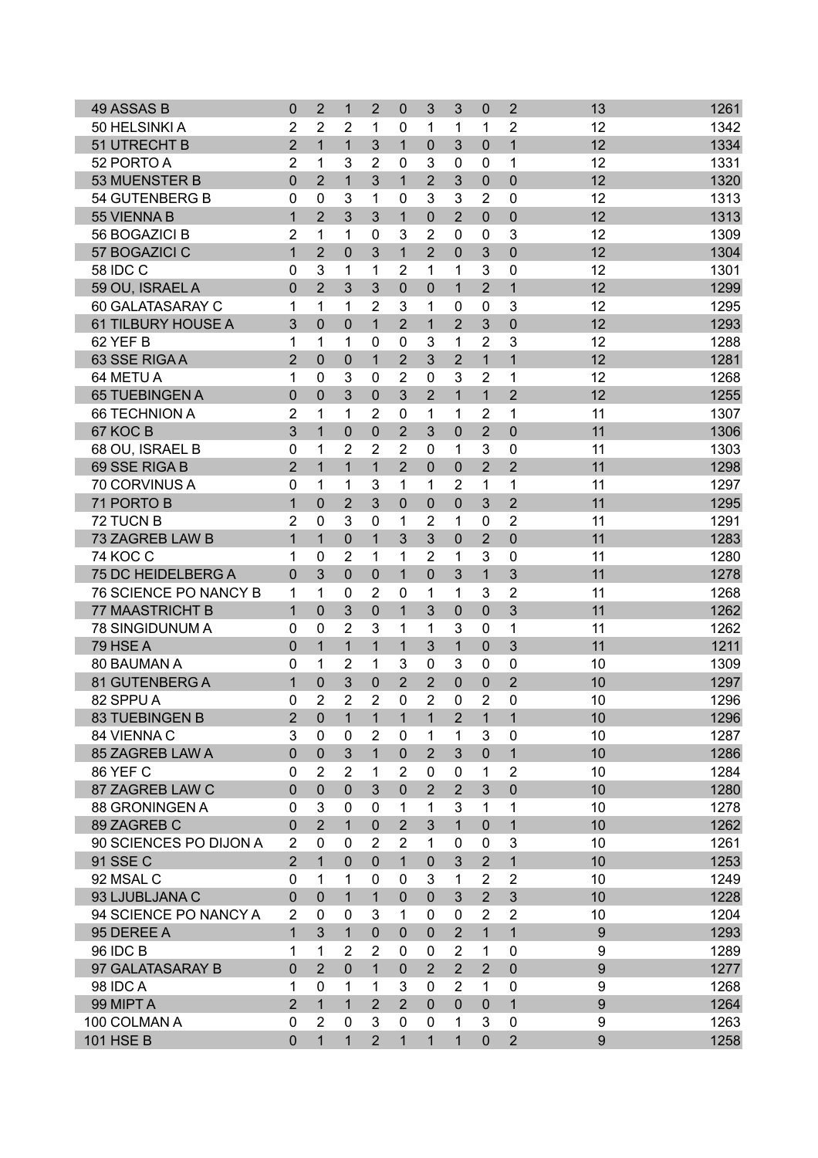| 49 ASSAS B             | $\mathbf 0$    | $\overline{2}$ | $\mathbf 1$    | $\overline{2}$ | 0              | 3              | 3              | 0              | $\overline{2}$ | 13               | 1261 |
|------------------------|----------------|----------------|----------------|----------------|----------------|----------------|----------------|----------------|----------------|------------------|------|
| 50 HELSINKI A          | $\overline{2}$ | $\overline{2}$ | $\overline{2}$ | 1              | 0              | 1              | 1              | 1              | $\overline{2}$ | 12               | 1342 |
| 51 UTRECHT B           | $\overline{2}$ | $\mathbf{1}$   | $\mathbf 1$    | 3              | $\mathbf{1}$   | $\mathbf 0$    | 3              | $\mathbf 0$    | $\mathbf{1}$   | 12               | 1334 |
| 52 PORTO A             | $\overline{2}$ | 1              | 3              | $\overline{2}$ | $\mathbf 0$    | 3              | 0              | 0              | 1              | 12               | 1331 |
| 53 MUENSTER B          | $\mathbf 0$    | $\overline{2}$ | $\overline{1}$ | 3              | $\mathbf{1}$   | $\overline{2}$ | 3              | $\mathbf 0$    | $\overline{0}$ | 12               | 1320 |
| 54 GUTENBERG B         | $\mathbf 0$    | $\mathbf 0$    | 3              | 1              | $\mathbf 0$    | 3              | 3              | $\overline{2}$ | $\mathbf 0$    | 12               | 1313 |
| 55 VIENNA B            | $\mathbf 1$    | $\overline{2}$ | 3              | 3              | $\mathbf{1}$   | $\mathbf 0$    | $\overline{2}$ | 0              | 0              | 12               | 1313 |
| 56 BOGAZICI B          | $\overline{2}$ | 1              | 1              | 0              | 3              | $\overline{2}$ | 0              | 0              | 3              | 12               | 1309 |
| 57 BOGAZICI C          | $\mathbf 1$    | $\overline{2}$ | $\mathbf 0$    | 3              | $\mathbf{1}$   | $\overline{2}$ | $\Omega$       | 3              | 0              | 12               | 1304 |
| <b>58 IDC C</b>        | 0              | 3              | 1              | 1              | 2              | 1              | 1              | 3              | 0              | 12               | 1301 |
| 59 OU, ISRAEL A        | $\mathbf 0$    | $\overline{2}$ | 3              | 3              | $\mathbf 0$    | $\mathbf 0$    | $\mathbf{1}$   | $\overline{2}$ | $\overline{1}$ | 12               | 1299 |
| 60 GALATASARAY C       | 1              | $\mathbf 1$    | 1              | $\overline{2}$ | 3              | 1              | $\mathbf 0$    | 0              | 3              | 12               | 1295 |
| 61 TILBURY HOUSE A     | 3              | 0              | $\mathbf 0$    | $\mathbf{1}$   | $\overline{2}$ | $\mathbf{1}$   | $\overline{2}$ | 3              | $\overline{0}$ | 12               | 1293 |
| 62 YEF B               | 1              | 1              | 1              | 0              | 0              | 3              | 1              | $\overline{2}$ | 3              | 12               | 1288 |
| 63 SSE RIGAA           | $\overline{2}$ | 0              | 0              | $\mathbf{1}$   | $\overline{2}$ | 3              | $\overline{2}$ | 1              | $\mathbf{1}$   | 12               | 1281 |
| 64 METU A              | 1              | 0              | 3              | $\mathbf 0$    | $\overline{2}$ | $\mathbf 0$    | 3              | $\overline{2}$ | 1              | 12               | 1268 |
| 65 TUEBINGEN A         | $\mathbf 0$    | $\overline{0}$ | 3              | $\mathbf 0$    | 3              | $\overline{2}$ | $\mathbf{1}$   | $\mathbf{1}$   | $\overline{2}$ | 12               | 1255 |
| <b>66 TECHNION A</b>   | $\overline{2}$ | 1              | 1              | $\overline{2}$ | $\mathbf 0$    | 1              | 1              | $\overline{2}$ | 1              | 11               | 1307 |
| 67 KOC B               | 3              | $\mathbf{1}$   | $\mathbf 0$    | $\mathbf 0$    | $\overline{2}$ | 3              | 0              | $\overline{2}$ | $\overline{0}$ | 11               | 1306 |
| 68 OU, ISRAEL B        | $\mathbf 0$    | 1              | 2              | $\overline{2}$ | 2              | 0              | 1              | 3              | 0              | 11               | 1303 |
| 69 SSE RIGA B          | $\overline{2}$ | $\mathbf{1}$   | $\mathbf 1$    | $\mathbf{1}$   | $\overline{2}$ | $\mathbf 0$    | 0              | $\overline{2}$ | $\overline{2}$ | 11               | 1298 |
| 70 CORVINUS A          | $\pmb{0}$      | 1              | 1              | 3              | 1              | 1              | 2              | 1              | 1              | 11               | 1297 |
| 71 PORTO B             | $\overline{1}$ | $\overline{0}$ | $\overline{2}$ | 3              | $\overline{0}$ | $\mathbf 0$    | 0              | 3              | $\overline{2}$ | 11               | 1295 |
| 72 TUCN B              | $\overline{2}$ | 0              | 3              | $\mathbf 0$    | 1              | $\overline{2}$ | 1              | $\mathbf 0$    | $\overline{2}$ | 11               | 1291 |
| 73 ZAGREB LAW B        | $\overline{1}$ | $\mathbf{1}$   | $\overline{0}$ | $\mathbf{1}$   | 3              | 3              | $\Omega$       | $\overline{2}$ | $\overline{0}$ | 11               | 1283 |
| <b>74 KOC C</b>        | 1              | $\Omega$       | $\overline{2}$ | 1              | 1              | $\overline{2}$ | 1              | 3              | 0              | 11               | 1280 |
| 75 DC HEIDELBERG A     | $\overline{0}$ | 3              | $\mathbf 0$    | $\mathbf 0$    | $\mathbf{1}$   | $\mathbf 0$    | 3              |                | 3              | 11               | 1278 |
|                        |                |                |                |                |                |                |                | 1              |                |                  |      |
| 76 SCIENCE PO NANCY B  | 1              | 1              | 0              | $\overline{2}$ | $\mathbf 0$    | 1              | 1              | 3              | 2              | 11               | 1268 |
| <b>77 MAASTRICHT B</b> | $\mathbf{1}$   | 0              | 3              | $\mathbf 0$    | $\mathbf{1}$   | 3              | 0              | $\mathbf 0$    | 3              | 11               | 1262 |
| 78 SINGIDUNUM A        | $\mathbf 0$    | 0              | $\overline{2}$ | 3              | 1              | 1              | 3              | $\mathbf 0$    | 1              | 11               | 1262 |
| 79 HSE A               | $\overline{0}$ | $\mathbf{1}$   | $\mathbf{1}$   | $\overline{1}$ | $\mathbf{1}$   | 3              | $\mathbf{1}$   | 0              | 3              | 11               | 1211 |
| 80 BAUMAN A            | $\mathbf 0$    | 1              | $\overline{2}$ | 1              | 3              | 0              | 3              | 0              | 0              | 10               | 1309 |
| 81 GUTENBERG A         | $\mathbf{1}$   | 0              | 3              | $\mathbf 0$    | $\overline{2}$ | $\overline{2}$ | 0              | 0              | $\overline{2}$ | 10               | 1297 |
| 82 SPPU A              | 0              | $\overline{2}$ | $\overline{2}$ | $\overline{2}$ | $\mathbf 0$    | 2              | 0              | 2              | 0              | 10               | 1296 |
| 83 TUEBINGEN B         | $\overline{2}$ | $\mathbf 0$    | $\mathbf{1}$   | $\mathbf{1}$   | $\mathbf{1}$   | $\mathbf{1}$   | $\overline{2}$ | $\mathbf{1}$   | $\mathbf{1}$   | 10               | 1296 |
| 84 VIENNA C            | 3              | $\mathbf{0}$   | 0              | 2              | 0              | 1              | 1              | 3              | 0              | 10               | 1287 |
| 85 ZAGREB LAW A        | $\overline{0}$ | $\mathbf{0}$   | 3              | $\mathbf{1}$   | $\mathbf{0}$   | $\overline{2}$ | 3              | $\mathbf 0$    | $\mathbf{1}$   | 10               | 1286 |
| 86 YEF C               | $\mathbf 0$    | $\overline{2}$ | $\overline{2}$ | 1              | $\overline{2}$ | 0              | $\mathbf{0}$   | 1              | $\overline{2}$ | 10               | 1284 |
| 87 ZAGREB LAW C        | $\mathbf 0$    | $\overline{0}$ | $\mathbf 0$    | 3              | $\mathbf 0$    | $\overline{2}$ | $\overline{2}$ | 3              | $\overline{0}$ | 10               | 1280 |
| 88 GRONINGEN A         | $\mathbf 0$    | 3              | 0              | $\mathbf 0$    | 1              | 1              | 3              | 1              | 1              | 10               | 1278 |
| 89 ZAGREB C            | $\mathbf 0$    | $\overline{2}$ | $\mathbf{1}$   | $\mathbf 0$    | $\overline{2}$ | 3              | $\mathbf{1}$   | $\mathbf 0$    | $\mathbf{1}$   | 10               | 1262 |
| 90 SCIENCES PO DIJON A | $\overline{2}$ | $\Omega$       | $\mathbf 0$    | $\overline{2}$ | $\overline{2}$ | 1              | $\mathbf{0}$   | 0              | 3              | 10               | 1261 |
| 91 SSE C               | $\overline{2}$ | 1              | $\overline{0}$ | $\mathbf{0}$   | $\mathbf{1}$   | $\mathbf{0}$   | 3              | $\overline{2}$ | $\overline{1}$ | 10               | 1253 |
| 92 MSAL C              | 0              | 1              | 1              | $\mathbf 0$    | $\Omega$       | 3              | 1              | $\overline{2}$ | $\overline{2}$ | 10               | 1249 |
| 93 LJUBLJANA C         | $\overline{0}$ | $\overline{0}$ | $\mathbf{1}$   | $\mathbf{1}$   | $\overline{0}$ | $\mathbf 0$    | 3              | $\overline{2}$ | 3              | 10               | 1228 |
| 94 SCIENCE PO NANCY A  | $\overline{2}$ | 0              | $\mathbf 0$    | 3              | 1              | 0              | 0              | $\overline{2}$ | $\overline{2}$ | 10               | 1204 |
| 95 DEREE A             | $\mathbf{1}$   | 3              | $\mathbf{1}$   | $\mathbf 0$    | $\mathbf{0}$   | $\mathbf 0$    | $\overline{2}$ | $\mathbf{1}$   | $\mathbf{1}$   | 9                | 1293 |
| <b>96 IDC B</b>        | 1              | 1              | $\overline{2}$ | $\overline{2}$ | 0              | $\mathbf 0$    | $\overline{2}$ | 1              | 0              | 9                | 1289 |
| 97 GALATASARAY B       | $\mathbf 0$    | $\overline{2}$ | $\overline{0}$ | $\mathbf{1}$   | $\mathbf{0}$   | $\overline{2}$ | $\overline{2}$ | $\overline{2}$ | $\overline{0}$ | 9                | 1277 |
| <b>98 IDC A</b>        | 1              | $\mathbf{0}$   | 1              | 1              | 3              | $\mathbf 0$    | 2              | 1              | 0              | 9                | 1268 |
| 99 MIPT A              | $\overline{2}$ | $\mathbf{1}$   | $\mathbf{1}$   | $\overline{2}$ | $\overline{2}$ | $\mathbf 0$    | $\mathbf 0$    | $\mathbf 0$    | $\mathbf{1}$   | 9                | 1264 |
| 100 COLMAN A           | 0              | $\overline{2}$ | $\mathbf 0$    | 3              | 0              | 0              | 1              | 3              | 0              | 9                | 1263 |
| <b>101 HSE B</b>       | $\mathbf 0$    | $\mathbf{1}$   | 1              | $\overline{2}$ | $\mathbf{1}$   | $\mathbf{1}$   | $\mathbf{1}$   | $\mathbf 0$    | $\overline{2}$ | $\boldsymbol{9}$ | 1258 |